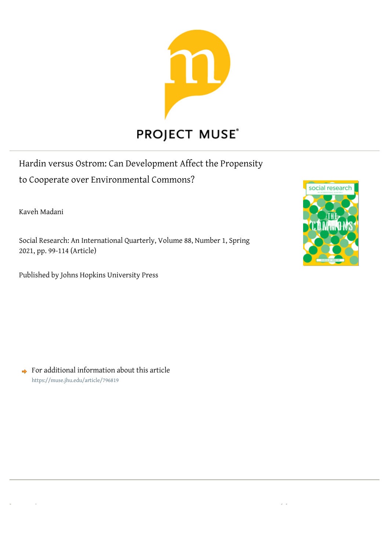

Hardin versus Ostrom: Can Development Affect the Propensity to Cooperate over Environmental Commons?

Kaveh Madani

Social Research: An International Quarterly, Volume 88, Number 1, Spring 2021, pp. 99-114 (Article)

[ Access provided for user 'behshadmhr' at 27 Jun 2021 01:22 GMT from Arizona State University ]

Published by Johns Hopkins University Press



For additional information about this article https://muse.jhu.edu/article/796819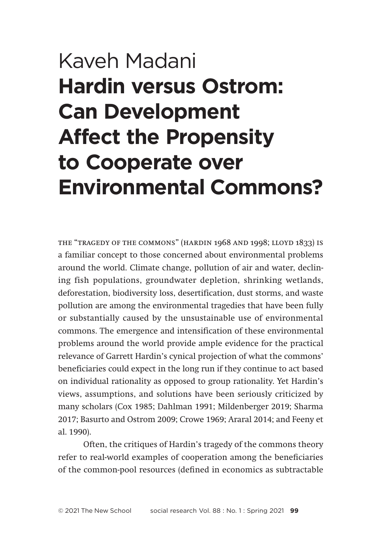# Kaveh Madani **Hardin versus Ostrom: Can Development Affect the Propensity to Cooperate over Environmental Commons?**

the "tragedy of the commons" (hardin 1968 and 1998; lloyd 1833) is a familiar concept to those concerned about environmental problems around the world. Climate change, pollution of air and water, declining fish populations, groundwater depletion, shrinking wetlands, deforestation, biodiversity loss, desertification, dust storms, and waste pollution are among the environmental tragedies that have been fully or substantially caused by the unsustainable use of environmental commons. The emergence and intensification of these environmental problems around the world provide ample evidence for the practical relevance of Garrett Hardin's cynical projection of what the commons' beneficiaries could expect in the long run if they continue to act based on individual rationality as opposed to group rationality. Yet Hardin's views, assumptions, and solutions have been seriously criticized by many scholars (Cox 1985; Dahlman 1991; Mildenberger 2019; Sharma 2017; Basurto and Ostrom 2009; Crowe 1969; Araral 2014; and Feeny et al. 1990).

Often, the critiques of Hardin's tragedy of the commons theory refer to real-world examples of cooperation among the beneficiaries of the common-pool resources (defined in economics as subtractable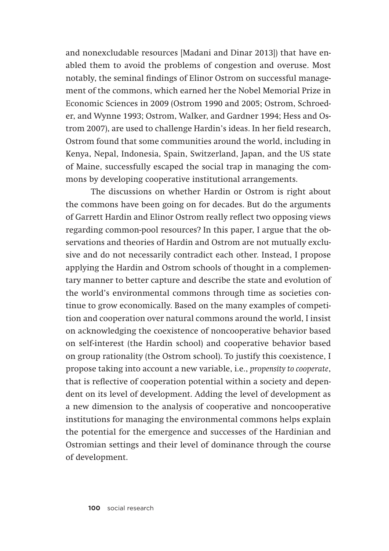and nonexcludable resources [Madani and Dinar 2013]) that have enabled them to avoid the problems of congestion and overuse. Most notably, the seminal findings of Elinor Ostrom on successful management of the commons, which earned her the Nobel Memorial Prize in Economic Sciences in 2009 (Ostrom 1990 and 2005; Ostrom, Schroeder, and Wynne 1993; Ostrom, Walker, and Gardner 1994; Hess and Ostrom 2007), are used to challenge Hardin's ideas. In her field research, Ostrom found that some communities around the world, including in Kenya, Nepal, Indonesia, Spain, Switzerland, Japan, and the US state of Maine, successfully escaped the social trap in managing the commons by developing cooperative institutional arrangements.

The discussions on whether Hardin or Ostrom is right about the commons have been going on for decades. But do the arguments of Garrett Hardin and Elinor Ostrom really reflect two opposing views regarding common-pool resources? In this paper, I argue that the observations and theories of Hardin and Ostrom are not mutually exclusive and do not necessarily contradict each other. Instead, I propose applying the Hardin and Ostrom schools of thought in a complementary manner to better capture and describe the state and evolution of the world's environmental commons through time as societies continue to grow economically. Based on the many examples of competition and cooperation over natural commons around the world, I insist on acknowledging the coexistence of noncooperative behavior based on self-interest (the Hardin school) and cooperative behavior based on group rationality (the Ostrom school). To justify this coexistence, I propose taking into account a new variable, i.e., *propensity to cooperate*, that is reflective of cooperation potential within a society and dependent on its level of development. Adding the level of development as a new dimension to the analysis of cooperative and noncooperative institutions for managing the environmental commons helps explain the potential for the emergence and successes of the Hardinian and Ostromian settings and their level of dominance through the course of development.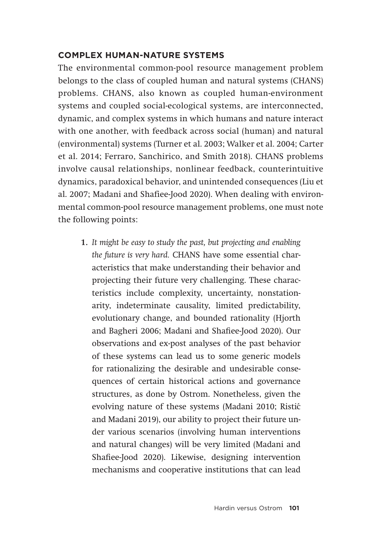## **COMPLEX HUMAN-NATURE SYSTEMS**

The environmental common-pool resource management problem belongs to the class of coupled human and natural systems (CHANS) problems. CHANS, also known as coupled human-environment systems and coupled social-ecological systems, are interconnected, dynamic, and complex systems in which humans and nature interact with one another, with feedback across social (human) and natural (environmental) systems (Turner et al. 2003; Walker et al. 2004; Carter et al. 2014; Ferraro, Sanchirico, and Smith 2018). CHANS problems involve causal relationships, nonlinear feedback, counterintuitive dynamics, paradoxical behavior, and unintended consequences (Liu et al. 2007; Madani and Shafiee-Jood 2020). When dealing with environmental common-pool resource management problems, one must note the following points:

**1.** *It might be easy to study the past, but projecting and enabling the future is very hard.* CHANS have some essential characteristics that make understanding their behavior and projecting their future very challenging. These characteristics include complexity, uncertainty, nonstationarity, indeterminate causality, limited predictability, evolutionary change, and bounded rationality (Hjorth and Bagheri 2006; Madani and Shafiee-Jood 2020). Our observations and ex-post analyses of the past behavior of these systems can lead us to some generic models for rationalizing the desirable and undesirable consequences of certain historical actions and governance structures, as done by Ostrom. Nonetheless, given the evolving nature of these systems (Madani 2010; Ristić and Madani 2019), our ability to project their future under various scenarios (involving human interventions and natural changes) will be very limited (Madani and Shafiee-Jood 2020). Likewise, designing intervention mechanisms and cooperative institutions that can lead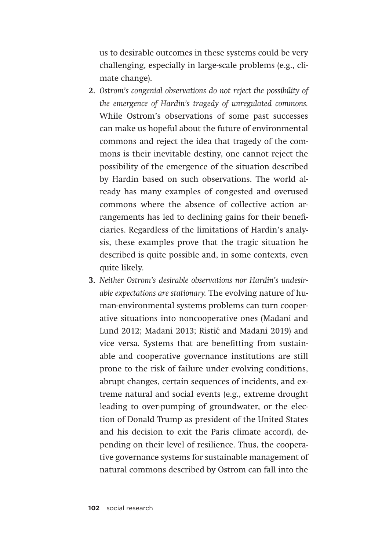us to desirable outcomes in these systems could be very challenging, especially in large-scale problems (e.g., climate change).

- **2.** *Ostrom's congenial observations do not reject the possibility of the emergence of Hardin's tragedy of unregulated commons.* While Ostrom's observations of some past successes can make us hopeful about the future of environmental commons and reject the idea that tragedy of the commons is their inevitable destiny, one cannot reject the possibility of the emergence of the situation described by Hardin based on such observations. The world already has many examples of congested and overused commons where the absence of collective action arrangements has led to declining gains for their beneficiaries. Regardless of the limitations of Hardin's analysis, these examples prove that the tragic situation he described is quite possible and, in some contexts, even quite likely.
- **3.** *Neither Ostrom's desirable observations nor Hardin's undesirable expectations are stationary.* The evolving nature of human-environmental systems problems can turn cooperative situations into noncooperative ones (Madani and Lund 2012; Madani 2013; Ristić and Madani 2019) and vice versa. Systems that are benefitting from sustainable and cooperative governance institutions are still prone to the risk of failure under evolving conditions, abrupt changes, certain sequences of incidents, and extreme natural and social events (e.g., extreme drought leading to over-pumping of groundwater, or the election of Donald Trump as president of the United States and his decision to exit the Paris climate accord), depending on their level of resilience. Thus, the cooperative governance systems for sustainable management of natural commons described by Ostrom can fall into the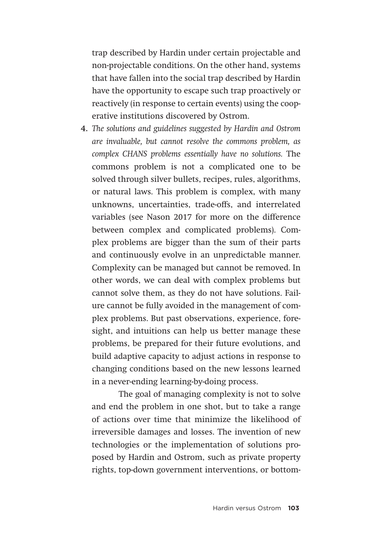trap described by Hardin under certain projectable and non-projectable conditions. On the other hand, systems that have fallen into the social trap described by Hardin have the opportunity to escape such trap proactively or reactively (in response to certain events) using the cooperative institutions discovered by Ostrom.

**4.** *The solutions and guidelines suggested by Hardin and Ostrom are invaluable, but cannot resolve the commons problem, as complex CHANS problems essentially have no solutions.* The commons problem is not a complicated one to be solved through silver bullets, recipes, rules, algorithms, or natural laws. This problem is complex, with many unknowns, uncertainties, trade-offs, and interrelated variables (see Nason 2017 for more on the difference between complex and complicated problems). Complex problems are bigger than the sum of their parts and continuously evolve in an unpredictable manner. Complexity can be managed but cannot be removed. In other words, we can deal with complex problems but cannot solve them, as they do not have solutions. Failure cannot be fully avoided in the management of complex problems. But past observations, experience, foresight, and intuitions can help us better manage these problems, be prepared for their future evolutions, and build adaptive capacity to adjust actions in response to changing conditions based on the new lessons learned in a never-ending learning-by-doing process.

The goal of managing complexity is not to solve and end the problem in one shot, but to take a range of actions over time that minimize the likelihood of irreversible damages and losses. The invention of new technologies or the implementation of solutions proposed by Hardin and Ostrom, such as private property rights, top-down government interventions, or bottom-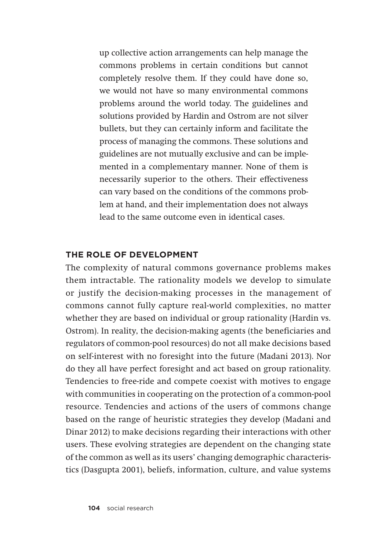up collective action arrangements can help manage the commons problems in certain conditions but cannot completely resolve them. If they could have done so, we would not have so many environmental commons problems around the world today. The guidelines and solutions provided by Hardin and Ostrom are not silver bullets, but they can certainly inform and facilitate the process of managing the commons. These solutions and guidelines are not mutually exclusive and can be implemented in a complementary manner. None of them is necessarily superior to the others. Their effectiveness can vary based on the conditions of the commons problem at hand, and their implementation does not always lead to the same outcome even in identical cases.

### **THE ROLE OF DEVELOPMENT**

The complexity of natural commons governance problems makes them intractable. The rationality models we develop to simulate or justify the decision-making processes in the management of commons cannot fully capture real-world complexities, no matter whether they are based on individual or group rationality (Hardin vs. Ostrom). In reality, the decision-making agents (the beneficiaries and regulators of common-pool resources) do not all make decisions based on self-interest with no foresight into the future (Madani 2013). Nor do they all have perfect foresight and act based on group rationality. Tendencies to free-ride and compete coexist with motives to engage with communities in cooperating on the protection of a common-pool resource. Tendencies and actions of the users of commons change based on the range of heuristic strategies they develop (Madani and Dinar 2012) to make decisions regarding their interactions with other users. These evolving strategies are dependent on the changing state of the common as well as its users' changing demographic characteristics (Dasgupta 2001), beliefs, information, culture, and value systems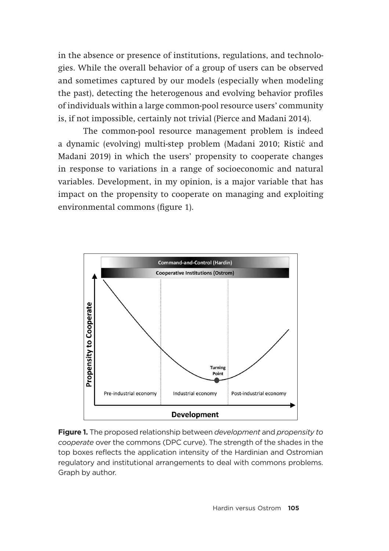in the absence or presence of institutions, regulations, and technologies. While the overall behavior of a group of users can be observed and sometimes captured by our models (especially when modeling the past), detecting the heterogenous and evolving behavior profiles of individuals within a large common-pool resource users' community is, if not impossible, certainly not trivial (Pierce and Madani 2014).

The common-pool resource management problem is indeed a dynamic (evolving) multi-step problem (Madani 2010; Ristic´ and Madani 2019) in which the users' propensity to cooperate changes in response to variations in a range of socioeconomic and natural variables. Development, in my opinion, is a major variable that has impact on the propensity to cooperate on managing and exploiting environmental commons (figure 1).



**Figure 1.** The proposed relationship between *development* and *propensity to cooperate* over the commons (DPC curve). The strength of the shades in the top boxes reflects the application intensity of the Hardinian and Ostromian regulatory and institutional arrangements to deal with commons problems. Graph by author.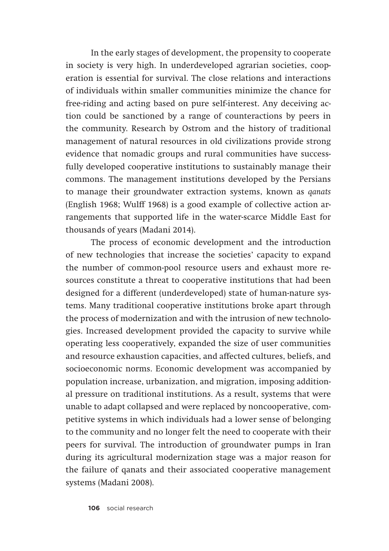In the early stages of development, the propensity to cooperate in society is very high. In underdeveloped agrarian societies, cooperation is essential for survival. The close relations and interactions of individuals within smaller communities minimize the chance for free-riding and acting based on pure self-interest. Any deceiving action could be sanctioned by a range of counteractions by peers in the community. Research by Ostrom and the history of traditional management of natural resources in old civilizations provide strong evidence that nomadic groups and rural communities have successfully developed cooperative institutions to sustainably manage their commons. The management institutions developed by the Persians to manage their groundwater extraction systems, known as *qanats* (English 1968; Wulff 1968) is a good example of collective action arrangements that supported life in the water-scarce Middle East for thousands of years (Madani 2014).

The process of economic development and the introduction of new technologies that increase the societies' capacity to expand the number of common-pool resource users and exhaust more resources constitute a threat to cooperative institutions that had been designed for a different (underdeveloped) state of human-nature systems. Many traditional cooperative institutions broke apart through the process of modernization and with the intrusion of new technologies. Increased development provided the capacity to survive while operating less cooperatively, expanded the size of user communities and resource exhaustion capacities, and affected cultures, beliefs, and socioeconomic norms. Economic development was accompanied by population increase, urbanization, and migration, imposing additional pressure on traditional institutions. As a result, systems that were unable to adapt collapsed and were replaced by noncooperative, competitive systems in which individuals had a lower sense of belonging to the community and no longer felt the need to cooperate with their peers for survival. The introduction of groundwater pumps in Iran during its agricultural modernization stage was a major reason for the failure of qanats and their associated cooperative management systems (Madani 2008).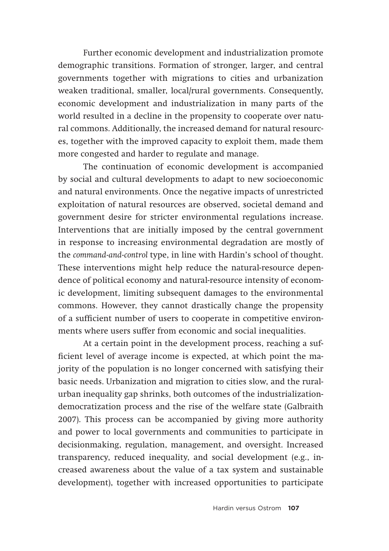Further economic development and industrialization promote demographic transitions. Formation of stronger, larger, and central governments together with migrations to cities and urbanization weaken traditional, smaller, local/rural governments. Consequently, economic development and industrialization in many parts of the world resulted in a decline in the propensity to cooperate over natural commons. Additionally, the increased demand for natural resources, together with the improved capacity to exploit them, made them more congested and harder to regulate and manage.

The continuation of economic development is accompanied by social and cultural developments to adapt to new socioeconomic and natural environments. Once the negative impacts of unrestricted exploitation of natural resources are observed, societal demand and government desire for stricter environmental regulations increase. Interventions that are initially imposed by the central government in response to increasing environmental degradation are mostly of the *command-and-control* type, in line with Hardin's school of thought. These interventions might help reduce the natural-resource dependence of political economy and natural-resource intensity of economic development, limiting subsequent damages to the environmental commons. However, they cannot drastically change the propensity of a sufficient number of users to cooperate in competitive environments where users suffer from economic and social inequalities.

At a certain point in the development process, reaching a sufficient level of average income is expected, at which point the majority of the population is no longer concerned with satisfying their basic needs. Urbanization and migration to cities slow, and the ruralurban inequality gap shrinks, both outcomes of the industrializationdemocratization process and the rise of the welfare state (Galbraith 2007). This process can be accompanied by giving more authority and power to local governments and communities to participate in decisionmaking, regulation, management, and oversight. Increased transparency, reduced inequality, and social development (e.g., increased awareness about the value of a tax system and sustainable development), together with increased opportunities to participate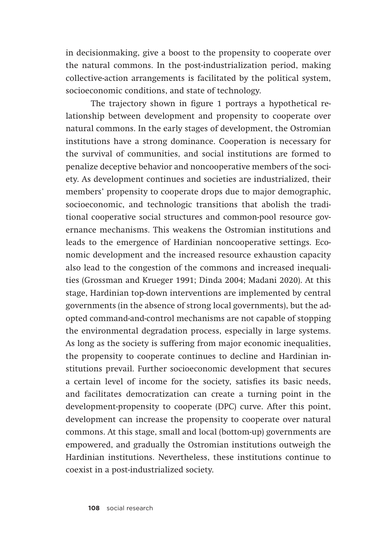in decisionmaking, give a boost to the propensity to cooperate over the natural commons. In the post-industrialization period, making collective-action arrangements is facilitated by the political system, socioeconomic conditions, and state of technology.

The trajectory shown in figure 1 portrays a hypothetical relationship between development and propensity to cooperate over natural commons. In the early stages of development, the Ostromian institutions have a strong dominance. Cooperation is necessary for the survival of communities, and social institutions are formed to penalize deceptive behavior and noncooperative members of the society. As development continues and societies are industrialized, their members' propensity to cooperate drops due to major demographic, socioeconomic, and technologic transitions that abolish the traditional cooperative social structures and common-pool resource governance mechanisms. This weakens the Ostromian institutions and leads to the emergence of Hardinian noncooperative settings. Economic development and the increased resource exhaustion capacity also lead to the congestion of the commons and increased inequalities (Grossman and Krueger 1991; Dinda 2004; Madani 2020). At this stage, Hardinian top-down interventions are implemented by central governments (in the absence of strong local governments), but the adopted command-and-control mechanisms are not capable of stopping the environmental degradation process, especially in large systems. As long as the society is suffering from major economic inequalities, the propensity to cooperate continues to decline and Hardinian institutions prevail. Further socioeconomic development that secures a certain level of income for the society, satisfies its basic needs, and facilitates democratization can create a turning point in the development-propensity to cooperate (DPC) curve. After this point, development can increase the propensity to cooperate over natural commons. At this stage, small and local (bottom-up) governments are empowered, and gradually the Ostromian institutions outweigh the Hardinian institutions. Nevertheless, these institutions continue to coexist in a post-industrialized society.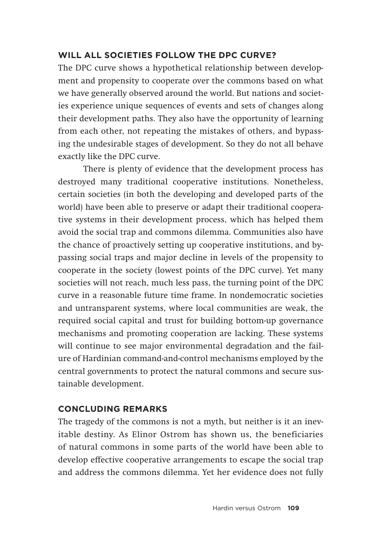# **WILL ALL SOCIETIES FOLLOW THE DPC CURVE?**

The DPC curve shows a hypothetical relationship between development and propensity to cooperate over the commons based on what we have generally observed around the world. But nations and societies experience unique sequences of events and sets of changes along their development paths. They also have the opportunity of learning from each other, not repeating the mistakes of others, and bypassing the undesirable stages of development. So they do not all behave exactly like the DPC curve.

There is plenty of evidence that the development process has destroyed many traditional cooperative institutions. Nonetheless, certain societies (in both the developing and developed parts of the world) have been able to preserve or adapt their traditional cooperative systems in their development process, which has helped them avoid the social trap and commons dilemma. Communities also have the chance of proactively setting up cooperative institutions, and bypassing social traps and major decline in levels of the propensity to cooperate in the society (lowest points of the DPC curve). Yet many societies will not reach, much less pass, the turning point of the DPC curve in a reasonable future time frame. In nondemocratic societies and untransparent systems, where local communities are weak, the required social capital and trust for building bottom-up governance mechanisms and promoting cooperation are lacking. These systems will continue to see major environmental degradation and the failure of Hardinian command-and-control mechanisms employed by the central governments to protect the natural commons and secure sustainable development.

## **CONCLUDING REMARKS**

The tragedy of the commons is not a myth, but neither is it an inevitable destiny. As Elinor Ostrom has shown us, the beneficiaries of natural commons in some parts of the world have been able to develop effective cooperative arrangements to escape the social trap and address the commons dilemma. Yet her evidence does not fully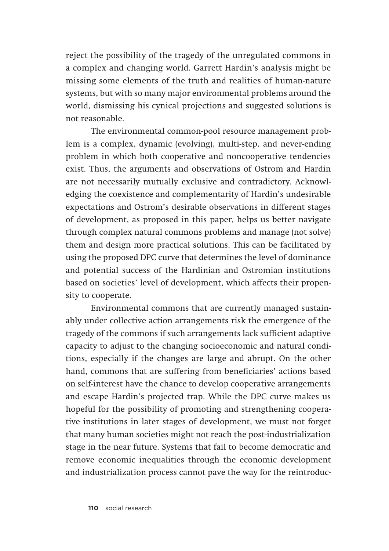reject the possibility of the tragedy of the unregulated commons in a complex and changing world. Garrett Hardin's analysis might be missing some elements of the truth and realities of human-nature systems, but with so many major environmental problems around the world, dismissing his cynical projections and suggested solutions is not reasonable.

The environmental common-pool resource management problem is a complex, dynamic (evolving), multi-step, and never-ending problem in which both cooperative and noncooperative tendencies exist. Thus, the arguments and observations of Ostrom and Hardin are not necessarily mutually exclusive and contradictory. Acknowledging the coexistence and complementarity of Hardin's undesirable expectations and Ostrom's desirable observations in different stages of development, as proposed in this paper, helps us better navigate through complex natural commons problems and manage (not solve) them and design more practical solutions. This can be facilitated by using the proposed DPC curve that determines the level of dominance and potential success of the Hardinian and Ostromian institutions based on societies' level of development, which affects their propensity to cooperate.

Environmental commons that are currently managed sustainably under collective action arrangements risk the emergence of the tragedy of the commons if such arrangements lack sufficient adaptive capacity to adjust to the changing socioeconomic and natural conditions, especially if the changes are large and abrupt. On the other hand, commons that are suffering from beneficiaries' actions based on self-interest have the chance to develop cooperative arrangements and escape Hardin's projected trap. While the DPC curve makes us hopeful for the possibility of promoting and strengthening cooperative institutions in later stages of development, we must not forget that many human societies might not reach the post-industrialization stage in the near future. Systems that fail to become democratic and remove economic inequalities through the economic development and industrialization process cannot pave the way for the reintroduc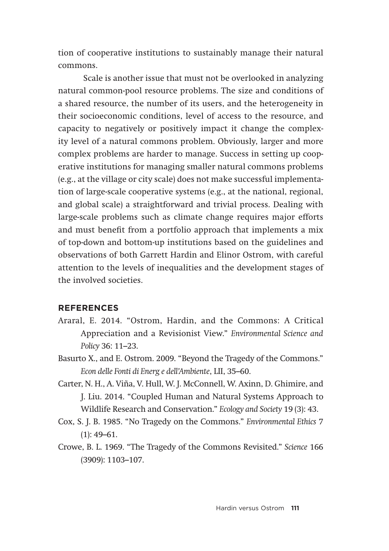tion of cooperative institutions to sustainably manage their natural commons.

Scale is another issue that must not be overlooked in analyzing natural common-pool resource problems. The size and conditions of a shared resource, the number of its users, and the heterogeneity in their socioeconomic conditions, level of access to the resource, and capacity to negatively or positively impact it change the complexity level of a natural commons problem. Obviously, larger and more complex problems are harder to manage. Success in setting up cooperative institutions for managing smaller natural commons problems (e.g., at the village or city scale) does not make successful implementation of large-scale cooperative systems (e.g., at the national, regional, and global scale) a straightforward and trivial process. Dealing with large-scale problems such as climate change requires major efforts and must benefit from a portfolio approach that implements a mix of top-down and bottom-up institutions based on the guidelines and observations of both Garrett Hardin and Elinor Ostrom, with careful attention to the levels of inequalities and the development stages of the involved societies.

#### **REFERENCES**

- Araral, E. 2014. "Ostrom, Hardin, and the Commons: A Critical Appreciation and a Revisionist View." *Environmental Science and Policy* 36: 11–23.
- Basurto X., and E. Ostrom. 2009. "Beyond the Tragedy of the Commons." *Econ delle Fonti di Energ e dell'Ambiente*, LII, 35–60.
- Carter, N. H., A. Viña, V. Hull, W. J. McConnell, W. Axinn, D. Ghimire, and J. Liu. 2014. "Coupled Human and Natural Systems Approach to Wildlife Research and Conservation." *Ecology and Society* 19 (3): 43.
- Cox, S. J. B. 1985. "No Tragedy on the Commons." *Environmental Ethics* 7  $(1): 49-61.$
- Crowe, B. L. 1969. "The Tragedy of the Commons Revisited." *Science* 166 (3909): 1103–107.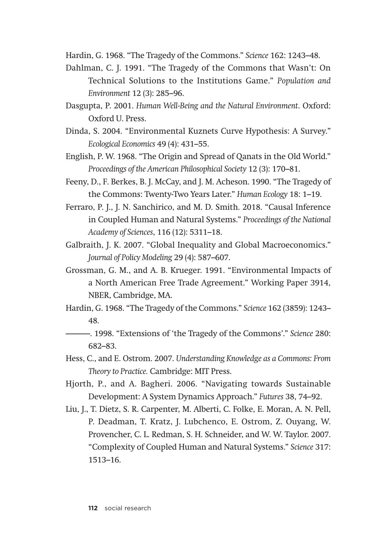Hardin, G. 1968. "The Tragedy of the Commons." *Science* 162: 1243–48.

- Dahlman, C. J. 1991. "The Tragedy of the Commons that Wasn't: On Technical Solutions to the Institutions Game." *Population and Environment* 12 (3): 285–96.
- Dasgupta, P. 2001. *Human Well-Being and the Natural Environment*. Oxford: Oxford U. Press.
- Dinda, S. 2004. "Environmental Kuznets Curve Hypothesis: A Survey." *Ecological Economics* 49 (4): 431–55.
- English, P. W. 1968. "The Origin and Spread of Qanats in the Old World." *Proceedings of the American Philosophical Society* 12 (3): 170–81.
- Feeny, D., F. Berkes, B. J. McCay, and J. M. Acheson. 1990. "The Tragedy of the Commons: Twenty-Two Years Later." *Human Ecology* 18: 1–19.
- Ferraro, P. J., J. N. Sanchirico, and M. D. Smith. 2018. "Causal Inference in Coupled Human and Natural Systems." *Proceedings of the National Academy of Sciences*, 116 (12): 5311–18.
- Galbraith, J. K. 2007. "Global Inequality and Global Macroeconomics." *Journal of Policy Modeling* 29 (4): 587–607.
- Grossman, G. M., and A. B. Krueger. 1991. "Environmental Impacts of a North American Free Trade Agreement." Working Paper 3914, NBER, Cambridge, MA.
- Hardin, G. 1968. "The Tragedy of the Commons." *Science* 162 (3859): 1243– 48.
- ———. 1998. "Extensions of 'the Tragedy of the Commons'." *Science* 280: 682–83.
- Hess, C., and E. Ostrom. 2007. *Understanding Knowledge as a Commons: From Theory to Practice.* Cambridge: MIT Press.
- Hjorth, P., and A. Bagheri. 2006. "Navigating towards Sustainable Development: A System Dynamics Approach." *Futures* 38, 74–92.
- Liu, J., T. Dietz, S. R. Carpenter, M. Alberti, C. Folke, E. Moran, A. N. Pell, P. Deadman, T. Kratz, J. Lubchenco, E. Ostrom, Z. Ouyang, W. Provencher, C. L. Redman, S. H. Schneider, and W. W. Taylor. 2007. "Complexity of Coupled Human and Natural Systems." *Science* 317: 1513–16.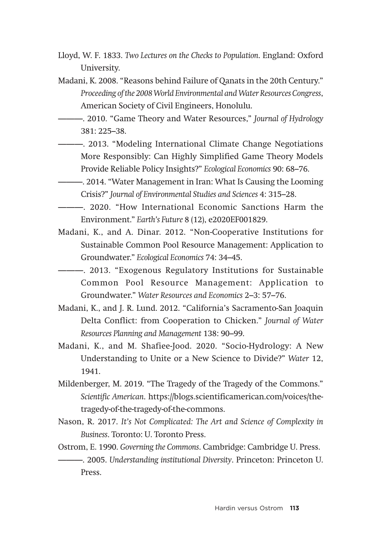- Lloyd, W. F. 1833. *Two Lectures on the Checks to Population*. England: Oxford University.
- Madani, K. 2008. "Reasons behind Failure of Qanats in the 20th Century." *Proceeding of the 2008 World Environmental and Water Resources Congress*, American Society of Civil Engineers, Honolulu.
- ———. 2010. "Game Theory and Water Resources," *Journal of Hydrology* 381: 225–38.
- ———. 2013. "Modeling International Climate Change Negotiations More Responsibly: Can Highly Simplified Game Theory Models Provide Reliable Policy Insights?" *Ecological Economics* 90: 68–76.
- ———. 2014. "Water Management in Iran: What Is Causing the Looming Crisis?" *Journal of Environmental Studies and Sciences* 4: 315–28.
- ———. 2020. "How International Economic Sanctions Harm the Environment." *Earth's Future* 8 (12), e2020EF001829.
- Madani, K., and A. Dinar. 2012. "Non-Cooperative Institutions for Sustainable Common Pool Resource Management: Application to Groundwater." *Ecological Economics* 74: 34–45.

———. 2013. "Exogenous Regulatory Institutions for Sustainable Common Pool Resource Management: Application to Groundwater." *Water Resources and Economics* 2–3: 57–76.

- Madani, K., and J. R. Lund. 2012. "California's Sacramento-San Joaquin Delta Conflict: from Cooperation to Chicken." *Journal of Water Resources Planning and Management* 138: 90–99.
- Madani, K., and M. Shafiee-Jood. 2020. "Socio-Hydrology: A New Understanding to Unite or a New Science to Divide?" *Water* 12, 1941.
- Mildenberger, M. 2019. "The Tragedy of the Tragedy of the Commons." *Scientific American*. https://blogs.scientificamerican.com/voices/thetragedy-of-the-tragedy-of-the-commons.
- Nason, R. 2017. *It's Not Complicated: The Art and Science of Complexity in Business*. Toronto: U. Toronto Press.
- Ostrom, E. 1990. *Governing the Commons*. Cambridge: Cambridge U. Press.
- ———. 2005. *Understanding institutional Diversity*. Princeton: Princeton U. Press.